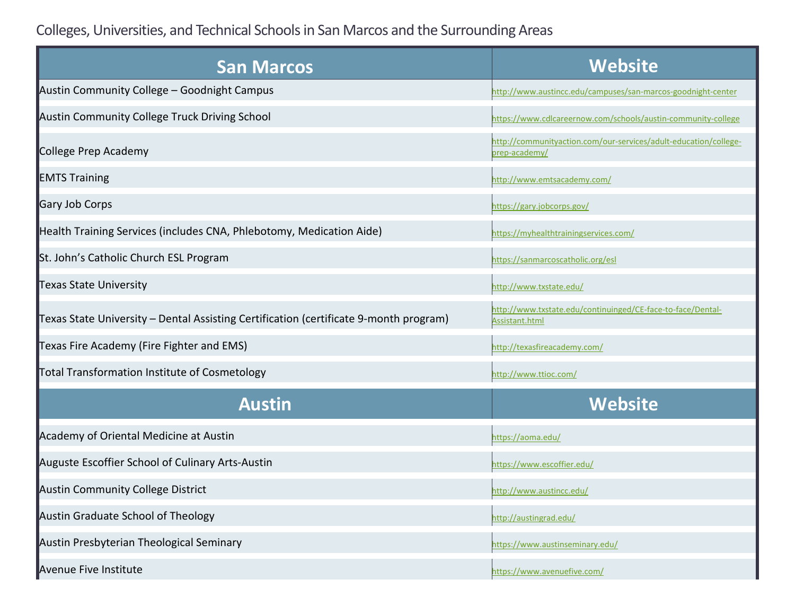Colleges, Universities, and Technical Schoolsin San Marcos and the Surrounding Areas

| <b>San Marcos</b>                                                                     | <b>Website</b>                                                                    |
|---------------------------------------------------------------------------------------|-----------------------------------------------------------------------------------|
| Austin Community College - Goodnight Campus                                           | http://www.austincc.edu/campuses/san-marcos-goodnight-center                      |
| Austin Community College Truck Driving School                                         | https://www.cdlcareernow.com/schools/austin-community-college                     |
| College Prep Academy                                                                  | http://communityaction.com/our-services/adult-education/college-<br>prep-academy/ |
| <b>EMTS Training</b>                                                                  | http://www.emtsacademy.com/                                                       |
| <b>Gary Job Corps</b>                                                                 | https://gary.jobcorps.gov/                                                        |
| Health Training Services (includes CNA, Phlebotomy, Medication Aide)                  | https://myhealthtrainingservices.com/                                             |
| St. John's Catholic Church ESL Program                                                | https://sanmarcoscatholic.org/esl                                                 |
| <b>Texas State University</b>                                                         | http://www.txstate.edu/                                                           |
| Texas State University - Dental Assisting Certification (certificate 9-month program) | http://www.txstate.edu/continuinged/CE-face-to-face/Dental-<br>Assistant.html     |
| Texas Fire Academy (Fire Fighter and EMS)                                             | http://texasfireacademy.com/                                                      |
| Total Transformation Institute of Cosmetology                                         | http://www.ttioc.com/                                                             |
| <b>Austin</b>                                                                         | <b>Website</b>                                                                    |
| Academy of Oriental Medicine at Austin                                                | https://aoma.edu/                                                                 |
| Auguste Escoffier School of Culinary Arts-Austin                                      | https://www.escoffier.edu/                                                        |
| <b>Austin Community College District</b>                                              | http://www.austincc.edu/                                                          |
| Austin Graduate School of Theology                                                    | http://austingrad.edu/                                                            |
| Austin Presbyterian Theological Seminary                                              | https://www.austinseminary.edu/                                                   |
| Avenue Five Institute                                                                 | https://www.avenuefive.com/                                                       |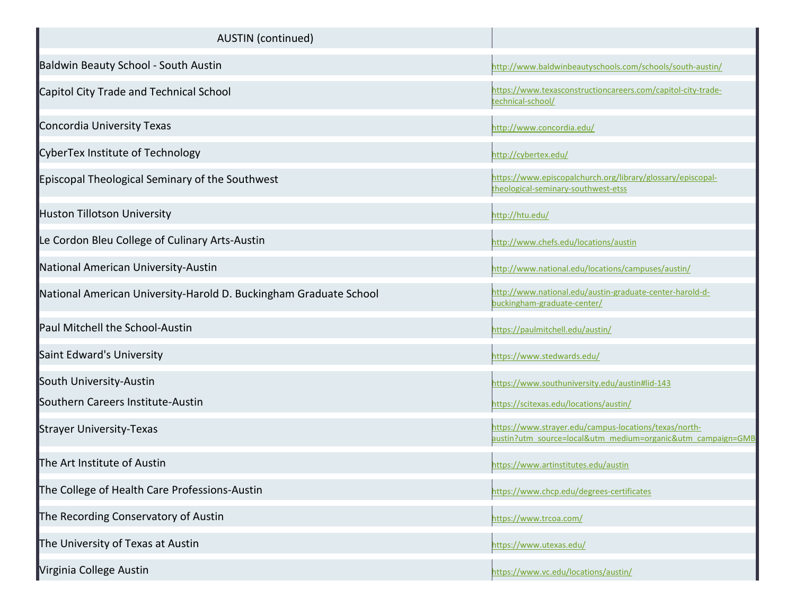| <b>AUSTIN</b> (continued)                                         |                                                                                                                      |
|-------------------------------------------------------------------|----------------------------------------------------------------------------------------------------------------------|
| Baldwin Beauty School - South Austin                              | http://www.baldwinbeautyschools.com/schools/south-austin/                                                            |
| Capitol City Trade and Technical School                           | https://www.texasconstructioncareers.com/capitol-city-trade-<br>technical-school/                                    |
| Concordia University Texas                                        | http://www.concordia.edu/                                                                                            |
| CyberTex Institute of Technology                                  | http://cybertex.edu/                                                                                                 |
| Episcopal Theological Seminary of the Southwest                   | https://www.episcopalchurch.org/library/glossary/episcopal-<br>theological-seminary-southwest-etss                   |
| Huston Tillotson University                                       | http://htu.edu/                                                                                                      |
| Le Cordon Bleu College of Culinary Arts-Austin                    | http://www.chefs.edu/locations/austin                                                                                |
| National American University-Austin                               | http://www.national.edu/locations/campuses/austin/                                                                   |
| National American University-Harold D. Buckingham Graduate School | http://www.national.edu/austin-graduate-center-harold-d-<br>buckingham-graduate-center/                              |
| Paul Mitchell the School-Austin                                   | https://paulmitchell.edu/austin/                                                                                     |
| Saint Edward's University                                         | https://www.stedwards.edu/                                                                                           |
| South University-Austin                                           | https://www.southuniversity.edu/austin#lid-143                                                                       |
| Southern Careers Institute-Austin                                 | https://scitexas.edu/locations/austin/                                                                               |
| Strayer University-Texas                                          | https://www.strayer.edu/campus-locations/texas/north-<br>austin?utm_source=local&utm_medium=organic&utm_campaign=GMB |
| The Art Institute of Austin                                       | https://www.artinstitutes.edu/austin                                                                                 |
| The College of Health Care Professions-Austin                     | https://www.chcp.edu/degrees-certificates                                                                            |
| The Recording Conservatory of Austin                              | https://www.trcoa.com/                                                                                               |
| The University of Texas at Austin                                 | https://www.utexas.edu/                                                                                              |
| Virginia College Austin                                           | https://www.vc.edu/locations/austin/                                                                                 |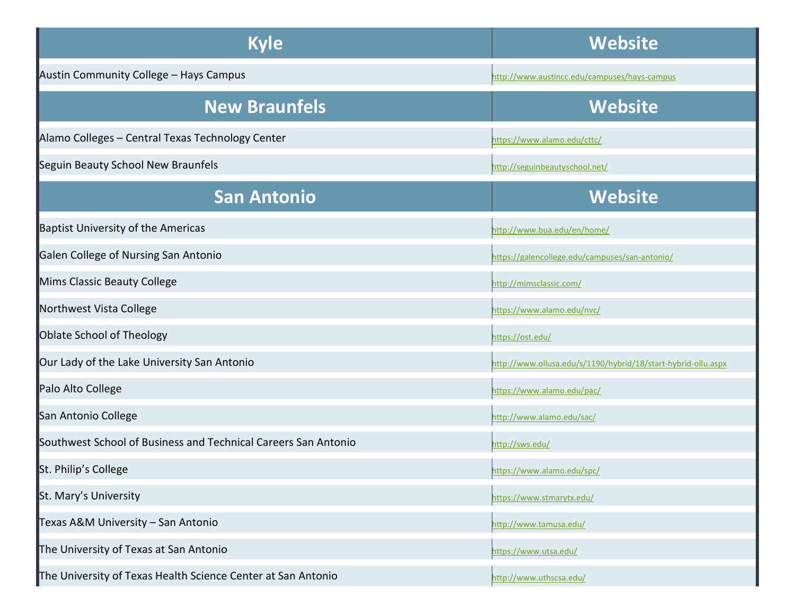| <b>Kyle</b>                                                    | <b>Website</b>                                                |
|----------------------------------------------------------------|---------------------------------------------------------------|
| Austin Community College - Hays Campus                         | http://www.austincc.edu/campuses/hays-campus                  |
| <b>New Braunfels</b>                                           | <b>Website</b>                                                |
| Alamo Colleges - Central Texas Technology Center               | https://www.alamo.edu/cttc/                                   |
| Seguin Beauty School New Braunfels                             | http://seguinbeautyschool.net/                                |
| <b>San Antonio</b>                                             | <b>Website</b>                                                |
| <b>Baptist University of the Americas</b>                      | http://www.bua.edu/en/home/                                   |
| Galen College of Nursing San Antonio                           | https://galencollege.edu/campuses/san-antonio/                |
| Mims Classic Beauty College                                    | http://mimsclassic.com/                                       |
| Northwest Vista College                                        | https://www.alamo.edu/nvc/                                    |
| Oblate School of Theology                                      | https://ost.edu/                                              |
| Our Lady of the Lake University San Antonio                    | http://www.ollusa.edu/s/1190/hybrid/18/start-hybrid-ollu.aspx |
| Palo Alto College                                              | https://www.alamo.edu/pac/                                    |
| San Antonio College                                            | http://www.alamo.edu/sac/                                     |
| Southwest School of Business and Technical Careers San Antonio | http://sws.edu/                                               |
| St. Philip's College                                           | https://www.alamo.edu/spc/                                    |
| St. Mary's University                                          | https://www.stmarytx.edu/                                     |
| Texas A&M University - San Antonio                             | http://www.tamusa.edu/                                        |
| The University of Texas at San Antonio                         | https://www.utsa.edu/                                         |
| The University of Texas Health Science Center at San Antonio   | http://www.uthscsa.edu/                                       |